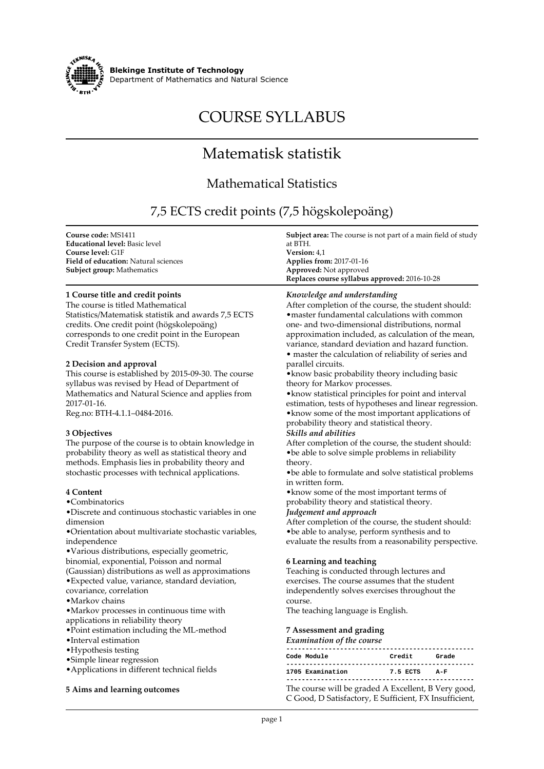

**Blekinge Institute of Technology Department of Mathematics and Natural Science**

# **COURSE SYLLABUS**

## **Matematisk statistik**

### **Mathematical Statistics**

### **7,5 ECTS credit points (7,5 högskolepoäng)**

| Course code: MS1411                                                     | <b>Subject area:</b> The course is not part of a main field of study                                          |
|-------------------------------------------------------------------------|---------------------------------------------------------------------------------------------------------------|
| <b>Educational level:</b> Basic level                                   | at BTH.<br>Version: 4,1                                                                                       |
| <b>Course level: G1F</b><br><b>Field of education:</b> Natural sciences | <b>Applies from: 2017-01-16</b>                                                                               |
| <b>Subject group: Mathematics</b>                                       | Approved: Not approved                                                                                        |
|                                                                         | Replaces course syllabus approved: 2016-10-28                                                                 |
| 1 Course title and credit points                                        | Knowledge and understanding                                                                                   |
| The course is titled Mathematical                                       | After completion of the course, the student should:                                                           |
| Statistics/Matematisk statistik and awards 7,5 ECTS                     | • master fundamental calculations with common                                                                 |
| credits. One credit point (högskolepoäng)                               | one- and two-dimensional distributions, normal                                                                |
| corresponds to one credit point in the European                         | approximation included, as calculation of the mean,                                                           |
| Credit Transfer System (ECTS).                                          | variance, standard deviation and hazard function.<br>• master the calculation of reliability of series and    |
| 2 Decision and approval                                                 | parallel circuits.                                                                                            |
| This course is established by 2015-09-30. The course                    | • know basic probability theory including basic                                                               |
| syllabus was revised by Head of Department of                           | theory for Markov processes.                                                                                  |
| Mathematics and Natural Science and applies from                        | • know statistical principles for point and interval                                                          |
| 2017-01-16.                                                             | estimation, tests of hypotheses and linear regression.                                                        |
| Reg.no: BTH-4.1.1-0484-2016.                                            | . know some of the most important applications of                                                             |
|                                                                         | probability theory and statistical theory.                                                                    |
| 3 Objectives                                                            | Skills and abilities                                                                                          |
| The purpose of the course is to obtain knowledge in                     | After completion of the course, the student should:                                                           |
| probability theory as well as statistical theory and                    | • be able to solve simple problems in reliability                                                             |
| methods. Emphasis lies in probability theory and                        | theory.                                                                                                       |
| stochastic processes with technical applications.                       | • be able to formulate and solve statistical problems                                                         |
|                                                                         | in written form.                                                                                              |
| 4 Content<br>•Combinatorics                                             | • know some of the most important terms of                                                                    |
| •Discrete and continuous stochastic variables in one                    | probability theory and statistical theory.<br>Judgement and approach                                          |
| dimension                                                               | After completion of the course, the student should:                                                           |
| •Orientation about multivariate stochastic variables,                   | • be able to analyse, perform synthesis and to                                                                |
| independence                                                            | evaluate the results from a reasonability perspective.                                                        |
| •Various distributions, especially geometric,                           |                                                                                                               |
| binomial, exponential, Poisson and normal                               | 6 Learning and teaching                                                                                       |
| (Gaussian) distributions as well as approximations                      | Teaching is conducted through lectures and                                                                    |
| · Expected value, variance, standard deviation,                         | exercises. The course assumes that the student                                                                |
| covariance, correlation                                                 | independently solves exercises throughout the                                                                 |
| ·Markov chains                                                          | course.                                                                                                       |
| ·Markov processes in continuous time with                               | The teaching language is English.                                                                             |
| applications in reliability theory                                      |                                                                                                               |
| • Point estimation including the ML-method                              | 7 Assessment and grading                                                                                      |
| ·Interval estimation                                                    | Examination of the course                                                                                     |
| • Hypothesis testing                                                    | Code Module<br>Credit Grade                                                                                   |
| • Simple linear regression                                              |                                                                                                               |
| • Applications in different technical fields                            | 1705 Examination 7.5 ECTS A-F                                                                                 |
| 5 Aims and learning outcomes                                            | The course will be graded A Excellent, B Very good,<br>C Good, D Satisfactory, E Sufficient, FX Insufficient, |